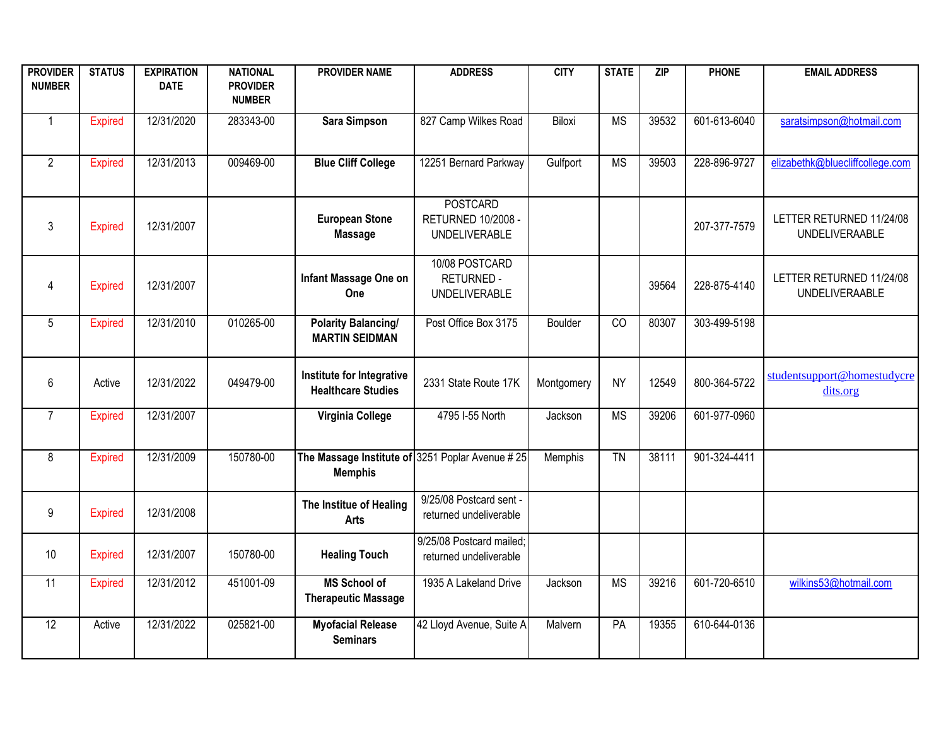| <b>PROVIDER</b><br><b>NUMBER</b> | <b>STATUS</b>  | <b>EXPIRATION</b><br><b>DATE</b> | <b>NATIONAL</b><br><b>PROVIDER</b><br><b>NUMBER</b> | <b>PROVIDER NAME</b>                                              | <b>ADDRESS</b>                                                       | <b>CITY</b> | <b>STATE</b>    | ZIP   | <b>PHONE</b> | <b>EMAIL ADDRESS</b>                              |
|----------------------------------|----------------|----------------------------------|-----------------------------------------------------|-------------------------------------------------------------------|----------------------------------------------------------------------|-------------|-----------------|-------|--------------|---------------------------------------------------|
| $\mathbf{1}$                     | Expired        | 12/31/2020                       | 283343-00                                           | <b>Sara Simpson</b>                                               | 827 Camp Wilkes Road                                                 | Biloxi      | <b>MS</b>       | 39532 | 601-613-6040 | saratsimpson@hotmail.com                          |
| $\overline{2}$                   | <b>Expired</b> | 12/31/2013                       | 009469-00                                           | <b>Blue Cliff College</b>                                         | 12251 Bernard Parkway                                                | Gulfport    | <b>MS</b>       | 39503 | 228-896-9727 | elizabethk@bluecliffcollege.com                   |
| 3                                | <b>Expired</b> | 12/31/2007                       |                                                     | <b>European Stone</b><br><b>Massage</b>                           | <b>POSTCARD</b><br><b>RETURNED 10/2008 -</b><br><b>UNDELIVERABLE</b> |             |                 |       | 207-377-7579 | LETTER RETURNED 11/24/08<br><b>UNDELIVERAABLE</b> |
| 4                                | <b>Expired</b> | 12/31/2007                       |                                                     | Infant Massage One on<br>One                                      | 10/08 POSTCARD<br><b>RETURNED -</b><br><b>UNDELIVERABLE</b>          |             |                 | 39564 | 228-875-4140 | LETTER RETURNED 11/24/08<br><b>UNDELIVERAABLE</b> |
| 5                                | <b>Expired</b> | 12/31/2010                       | 010265-00                                           | <b>Polarity Balancing/</b><br><b>MARTIN SEIDMAN</b>               | Post Office Box 3175                                                 | Boulder     | $\overline{c}$  | 80307 | 303-499-5198 |                                                   |
| 6                                | Active         | 12/31/2022                       | 049479-00                                           | Institute for Integrative<br><b>Healthcare Studies</b>            | 2331 State Route 17K                                                 | Montgomery  | <b>NY</b>       | 12549 | 800-364-5722 | studentsupport@homestudycre<br>dits.org           |
| $\overline{7}$                   | <b>Expired</b> | 12/31/2007                       |                                                     | Virginia College                                                  | 4795 I-55 North                                                      | Jackson     | <b>MS</b>       | 39206 | 601-977-0960 |                                                   |
| 8                                | <b>Expired</b> | 12/31/2009                       | 150780-00                                           | The Massage Institute of 3251 Poplar Avenue #25<br><b>Memphis</b> |                                                                      | Memphis     | $\overline{TN}$ | 38111 | 901-324-4411 |                                                   |
| 9                                | <b>Expired</b> | 12/31/2008                       |                                                     | The Institue of Healing<br><b>Arts</b>                            | 9/25/08 Postcard sent -<br>returned undeliverable                    |             |                 |       |              |                                                   |
| 10                               | <b>Expired</b> | 12/31/2007                       | 150780-00                                           | <b>Healing Touch</b>                                              | 9/25/08 Postcard mailed;<br>returned undeliverable                   |             |                 |       |              |                                                   |
| 11                               | <b>Expired</b> | 12/31/2012                       | 451001-09                                           | <b>MS School of</b><br><b>Therapeutic Massage</b>                 | 1935 A Lakeland Drive                                                | Jackson     | <b>MS</b>       | 39216 | 601-720-6510 | wilkins53@hotmail.com                             |
| $\overline{12}$                  | Active         | 12/31/2022                       | 025821-00                                           | <b>Myofacial Release</b><br><b>Seminars</b>                       | 42 Lloyd Avenue, Suite A                                             | Malvern     | $\overline{PA}$ | 19355 | 610-644-0136 |                                                   |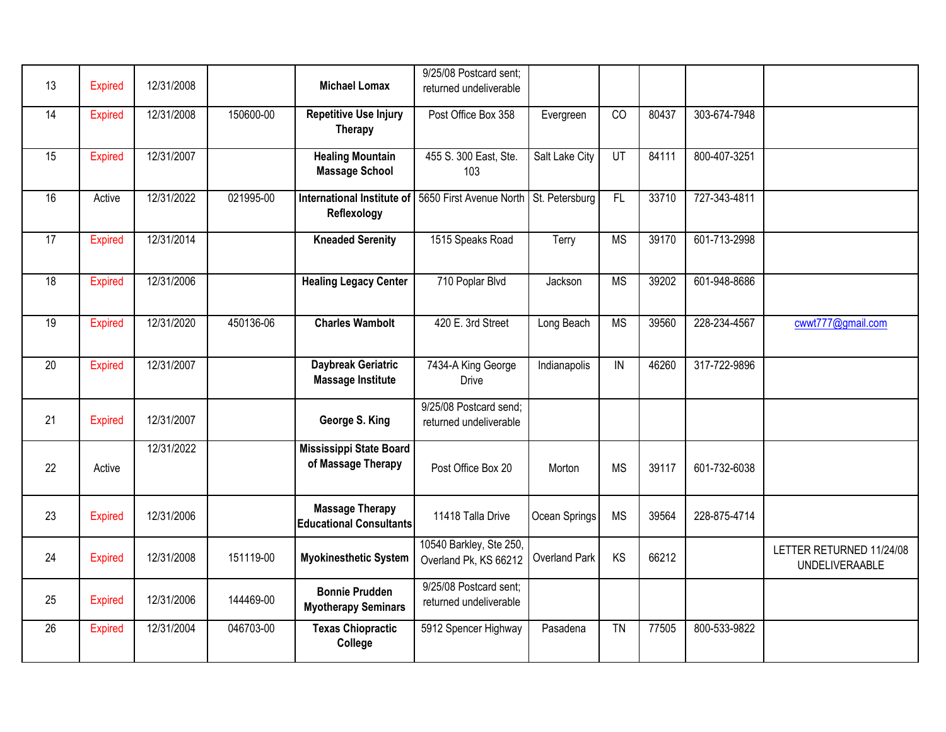|                 |                |            |           |                                   | 9/25/08 Postcard sent;  |                |                        |       |              |                          |
|-----------------|----------------|------------|-----------|-----------------------------------|-------------------------|----------------|------------------------|-------|--------------|--------------------------|
| 13              | <b>Expired</b> | 12/31/2008 |           | <b>Michael Lomax</b>              | returned undeliverable  |                |                        |       |              |                          |
|                 |                |            |           |                                   |                         |                |                        |       |              |                          |
| 14              | <b>Expired</b> | 12/31/2008 | 150600-00 | <b>Repetitive Use Injury</b>      | Post Office Box 358     | Evergreen      | CO                     | 80437 | 303-674-7948 |                          |
|                 |                |            |           | Therapy                           |                         |                |                        |       |              |                          |
| 15              | <b>Expired</b> | 12/31/2007 |           | <b>Healing Mountain</b>           | 455 S. 300 East, Ste.   | Salt Lake City | UT                     | 84111 | 800-407-3251 |                          |
|                 |                |            |           | <b>Massage School</b>             | 103                     |                |                        |       |              |                          |
|                 |                |            |           |                                   |                         |                |                        |       |              |                          |
| $\overline{16}$ | Active         | 12/31/2022 | 021995-00 | <b>International Institute of</b> | 5650 First Avenue North | St. Petersburg | F                      | 33710 | 727-343-4811 |                          |
|                 |                |            |           | Reflexology                       |                         |                |                        |       |              |                          |
|                 |                |            |           |                                   |                         |                |                        |       |              |                          |
| 17              | <b>Expired</b> | 12/31/2014 |           | <b>Kneaded Serenity</b>           | 1515 Speaks Road        | Terry          | <b>MS</b>              | 39170 | 601-713-2998 |                          |
|                 |                |            |           |                                   |                         |                |                        |       |              |                          |
| 18              | <b>Expired</b> | 12/31/2006 |           | <b>Healing Legacy Center</b>      | 710 Poplar Blvd         | Jackson        | <b>MS</b>              | 39202 | 601-948-8686 |                          |
|                 |                |            |           |                                   |                         |                |                        |       |              |                          |
|                 |                |            |           |                                   |                         |                |                        |       |              |                          |
| 19              | <b>Expired</b> | 12/31/2020 | 450136-06 | <b>Charles Wambolt</b>            | 420 E. 3rd Street       | Long Beach     | $\overline{\text{MS}}$ | 39560 | 228-234-4567 | cwwt777@gmail.com        |
|                 |                |            |           |                                   |                         |                |                        |       |              |                          |
|                 |                |            |           |                                   |                         |                |                        |       |              |                          |
| 20              | <b>Expired</b> | 12/31/2007 |           | <b>Daybreak Geriatric</b>         | 7434-A King George      | Indianapolis   | ${\sf IN}$             | 46260 | 317-722-9896 |                          |
|                 |                |            |           | <b>Massage Institute</b>          | <b>Drive</b>            |                |                        |       |              |                          |
|                 |                |            |           |                                   | 9/25/08 Postcard send;  |                |                        |       |              |                          |
| 21              | <b>Expired</b> | 12/31/2007 |           | George S. King                    | returned undeliverable  |                |                        |       |              |                          |
|                 |                |            |           |                                   |                         |                |                        |       |              |                          |
|                 |                | 12/31/2022 |           | Mississippi State Board           |                         |                |                        |       |              |                          |
| 22              | Active         |            |           | of Massage Therapy                | Post Office Box 20      | Morton         | <b>MS</b>              | 39117 | 601-732-6038 |                          |
|                 |                |            |           |                                   |                         |                |                        |       |              |                          |
|                 |                |            |           |                                   |                         |                |                        |       |              |                          |
| 23              | <b>Expired</b> | 12/31/2006 |           | <b>Massage Therapy</b>            | 11418 Talla Drive       | Ocean Springs  | <b>MS</b>              | 39564 | 228-875-4714 |                          |
|                 |                |            |           | <b>Educational Consultants</b>    |                         |                |                        |       |              |                          |
|                 |                |            |           |                                   | 10540 Barkley, Ste 250, |                |                        |       |              |                          |
| 24              | <b>Expired</b> | 12/31/2008 | 151119-00 | <b>Myokinesthetic System</b>      | Overland Pk, KS 66212   | Overland Park  | KS                     | 66212 |              | LETTER RETURNED 11/24/08 |
|                 |                |            |           |                                   |                         |                |                        |       |              | <b>UNDELIVERAABLE</b>    |
|                 |                |            |           | <b>Bonnie Prudden</b>             | 9/25/08 Postcard sent;  |                |                        |       |              |                          |
| 25              | <b>Expired</b> | 12/31/2006 | 144469-00 | <b>Myotherapy Seminars</b>        | returned undeliverable  |                |                        |       |              |                          |
|                 |                |            |           |                                   |                         |                |                        |       |              |                          |
| 26              | <b>Expired</b> | 12/31/2004 | 046703-00 | <b>Texas Chiopractic</b>          | 5912 Spencer Highway    | Pasadena       | $\overline{TN}$        | 77505 | 800-533-9822 |                          |
|                 |                |            |           | College                           |                         |                |                        |       |              |                          |
|                 |                |            |           |                                   |                         |                |                        |       |              |                          |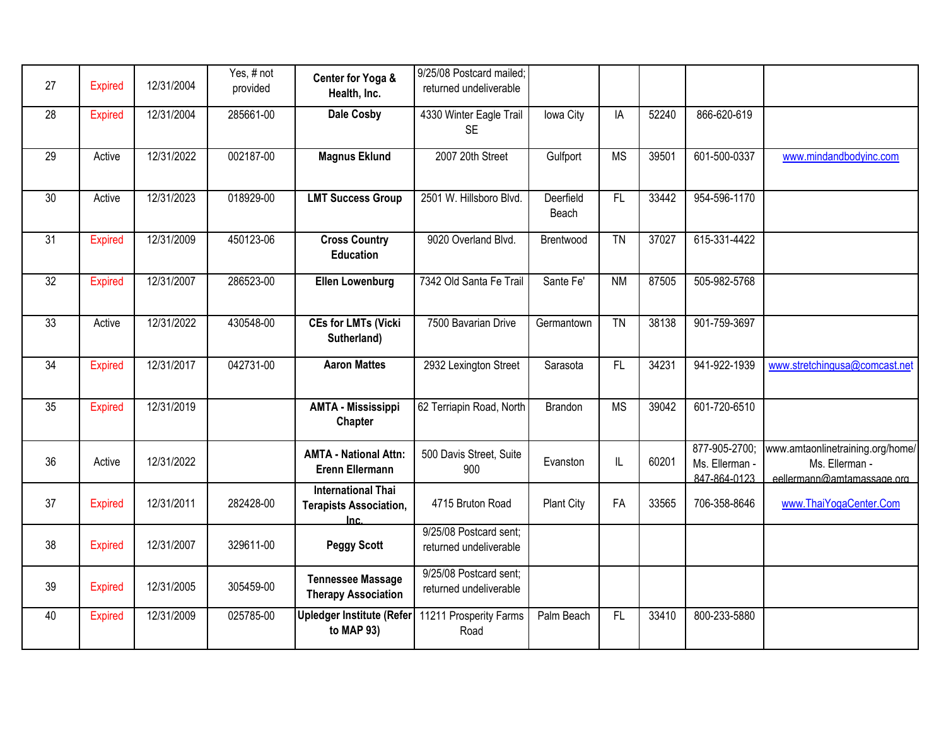| 27              | <b>Expired</b> | 12/31/2004 | Yes, # not<br>provided | Center for Yoga &<br>Health, Inc.                                  | 9/25/08 Postcard mailed;<br>returned undeliverable |                    |                        |       |                                                 |                                                                                  |
|-----------------|----------------|------------|------------------------|--------------------------------------------------------------------|----------------------------------------------------|--------------------|------------------------|-------|-------------------------------------------------|----------------------------------------------------------------------------------|
| 28              | <b>Expired</b> | 12/31/2004 | 285661-00              | <b>Dale Cosby</b>                                                  | 4330 Winter Eagle Trail<br><b>SE</b>               | Iowa City          | IA                     | 52240 | 866-620-619                                     |                                                                                  |
| $\overline{29}$ | Active         | 12/31/2022 | 002187-00              | <b>Magnus Eklund</b>                                               | 2007 20th Street                                   | Gulfport           | $\overline{\text{MS}}$ | 39501 | 601-500-0337                                    | www.mindandbodyinc.com                                                           |
| $\overline{30}$ | Active         | 12/31/2023 | 018929-00              | <b>LMT Success Group</b>                                           | 2501 W. Hillsboro Blvd.                            | Deerfield<br>Beach | F                      | 33442 | 954-596-1170                                    |                                                                                  |
| 31              | <b>Expired</b> | 12/31/2009 | 450123-06              | <b>Cross Country</b><br><b>Education</b>                           | 9020 Overland Blvd.                                | Brentwood          | <b>TN</b>              | 37027 | 615-331-4422                                    |                                                                                  |
| 32              | <b>Expired</b> | 12/31/2007 | 286523-00              | <b>Ellen Lowenburg</b>                                             | 7342 Old Santa Fe Trail                            | Sante Fe'          | <b>NM</b>              | 87505 | 505-982-5768                                    |                                                                                  |
| 33              | Active         | 12/31/2022 | 430548-00              | <b>CEs for LMTs (Vicki</b><br>Sutherland)                          | 7500 Bavarian Drive                                | Germantown         | $\overline{TN}$        | 38138 | 901-759-3697                                    |                                                                                  |
| 34              | <b>Expired</b> | 12/31/2017 | 042731-00              | <b>Aaron Mattes</b>                                                | 2932 Lexington Street                              | Sarasota           | F                      | 34231 | 941-922-1939                                    | www.stretchingusa@comcast.net                                                    |
| 35              | <b>Expired</b> | 12/31/2019 |                        | <b>AMTA - Mississippi</b><br>Chapter                               | 62 Terriapin Road, North                           | <b>Brandon</b>     | <b>MS</b>              | 39042 | 601-720-6510                                    |                                                                                  |
| 36              | Active         | 12/31/2022 |                        | <b>AMTA - National Attn:</b><br>Erenn Ellermann                    | 500 Davis Street, Suite<br>900                     | Evanston           | IL                     | 60201 | 877-905-2700;<br>Ms. Ellerman -<br>847-864-0123 | www.amtaonlinetraining.org/home/<br>Ms. Ellerman -<br>eellermann@amtamassage.org |
| 37              | <b>Expired</b> | 12/31/2011 | 282428-00              | <b>International Thai</b><br><b>Terapists Association,</b><br>Inc. | 4715 Bruton Road                                   | <b>Plant City</b>  | FA                     | 33565 | 706-358-8646                                    | www.ThaiYogaCenter.Com                                                           |
| 38              | <b>Expired</b> | 12/31/2007 | 329611-00              | <b>Peggy Scott</b>                                                 | 9/25/08 Postcard sent;<br>returned undeliverable   |                    |                        |       |                                                 |                                                                                  |
| 39              | <b>Expired</b> | 12/31/2005 | 305459-00              | <b>Tennessee Massage</b><br><b>Therapy Association</b>             | 9/25/08 Postcard sent;<br>returned undeliverable   |                    |                        |       |                                                 |                                                                                  |
| 40              | <b>Expired</b> | 12/31/2009 | 025785-00              | <b>Upledger Institute (Refer</b><br>to MAP 93)                     | 11211 Prosperity Farms<br>Road                     | Palm Beach         | F                      | 33410 | 800-233-5880                                    |                                                                                  |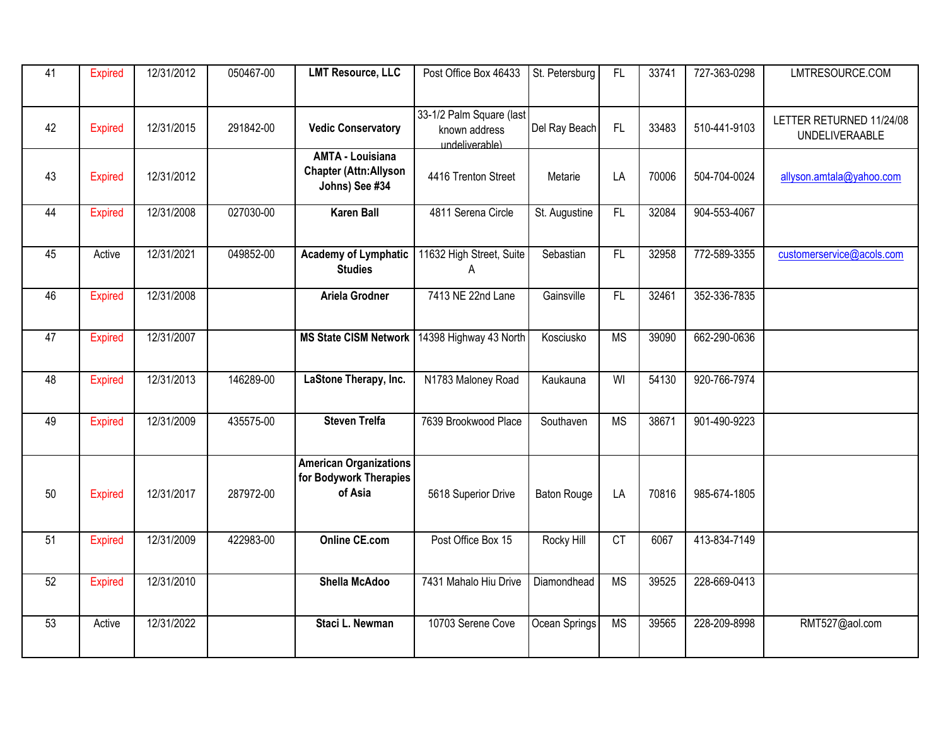| $\overline{41}$ | <b>Expired</b> | 12/31/2012 | 050467-00 | <b>LMT Resource, LLC</b>                                                  | Post Office Box 46433                                       | St. Petersburg     | F                      | 33741 | 727-363-0298 | LMTRESOURCE.COM                                   |
|-----------------|----------------|------------|-----------|---------------------------------------------------------------------------|-------------------------------------------------------------|--------------------|------------------------|-------|--------------|---------------------------------------------------|
| 42              | <b>Expired</b> | 12/31/2015 | 291842-00 | <b>Vedic Conservatory</b>                                                 | 33-1/2 Palm Square (last<br>known address<br>undeliverable) | Del Ray Beach      | FL                     | 33483 | 510-441-9103 | LETTER RETURNED 11/24/08<br><b>UNDELIVERAABLE</b> |
| 43              | <b>Expired</b> | 12/31/2012 |           | <b>AMTA - Louisiana</b><br><b>Chapter (Attn:Allyson</b><br>Johns) See #34 | 4416 Trenton Street                                         | Metarie            | LA                     | 70006 | 504-704-0024 | allyson.amtala@yahoo.com                          |
| 44              | <b>Expired</b> | 12/31/2008 | 027030-00 | <b>Karen Ball</b>                                                         | 4811 Serena Circle                                          | St. Augustine      | $\overline{FL}$        | 32084 | 904-553-4067 |                                                   |
| 45              | Active         | 12/31/2021 | 049852-00 | <b>Academy of Lymphatic</b><br><b>Studies</b>                             | 11632 High Street, Suite<br>A                               | Sebastian          | $\overline{FL}$        | 32958 | 772-589-3355 | customerservice@acols.com                         |
| 46              | <b>Expired</b> | 12/31/2008 |           | Ariela Grodner                                                            | 7413 NE 22nd Lane                                           | Gainsville         | F <sub>L</sub>         | 32461 | 352-336-7835 |                                                   |
| $\overline{47}$ | <b>Expired</b> | 12/31/2007 |           | <b>MS State CISM Network</b>                                              | 14398 Highway 43 North                                      | Kosciusko          | <b>MS</b>              | 39090 | 662-290-0636 |                                                   |
| 48              | <b>Expired</b> | 12/31/2013 | 146289-00 | LaStone Therapy, Inc.                                                     | N1783 Maloney Road                                          | Kaukauna           | WI                     | 54130 | 920-766-7974 |                                                   |
| 49              | <b>Expired</b> | 12/31/2009 | 435575-00 | <b>Steven Trelfa</b>                                                      | 7639 Brookwood Place                                        | Southaven          | $\overline{\text{MS}}$ | 38671 | 901-490-9223 |                                                   |
| 50              | <b>Expired</b> | 12/31/2017 | 287972-00 | <b>American Organizations</b><br>for Bodywork Therapies<br>of Asia        | 5618 Superior Drive                                         | <b>Baton Rouge</b> | LA                     | 70816 | 985-674-1805 |                                                   |
| 51              | <b>Expired</b> | 12/31/2009 | 422983-00 | <b>Online CE.com</b>                                                      | Post Office Box 15                                          | Rocky Hill         | CT                     | 6067  | 413-834-7149 |                                                   |
| 52              | <b>Expired</b> | 12/31/2010 |           | <b>Shella McAdoo</b>                                                      | 7431 Mahalo Hiu Drive                                       | Diamondhead        | <b>MS</b>              | 39525 | 228-669-0413 |                                                   |
| 53              | Active         | 12/31/2022 |           | Staci L. Newman                                                           | 10703 Serene Cove                                           | Ocean Springs      | <b>MS</b>              | 39565 | 228-209-8998 | RMT527@aol.com                                    |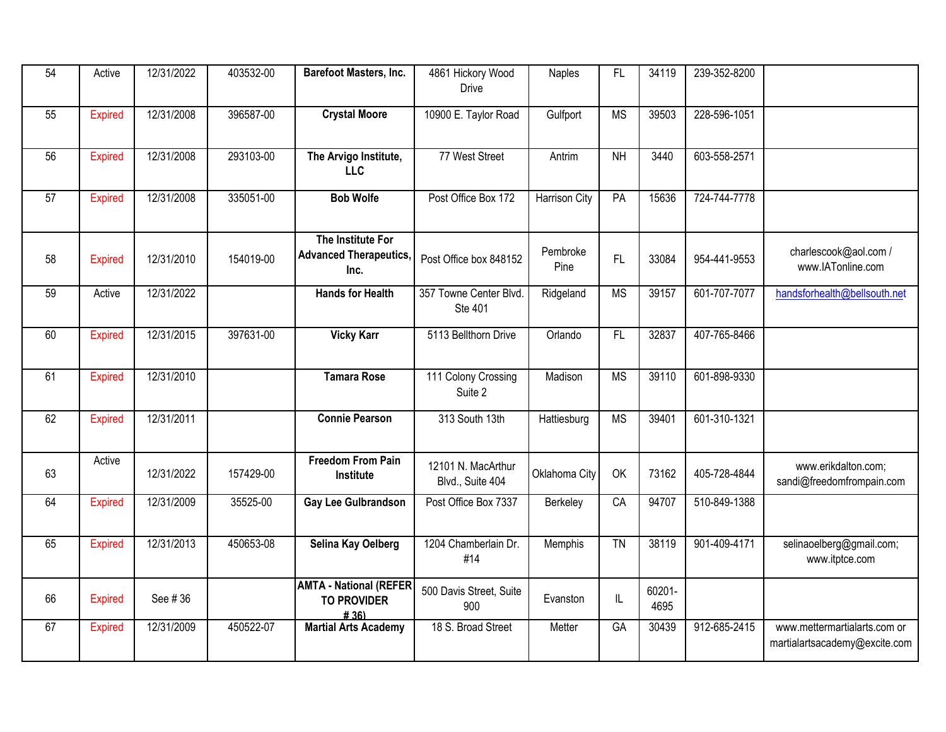| 54 | Active         | 12/31/2022 | 403532-00 | Barefoot Masters, Inc.                                      | 4861 Hickory Wood<br>Drive             | <b>Naples</b>    | FL              | 34119          | 239-352-8200 |                                                               |
|----|----------------|------------|-----------|-------------------------------------------------------------|----------------------------------------|------------------|-----------------|----------------|--------------|---------------------------------------------------------------|
| 55 | <b>Expired</b> | 12/31/2008 | 396587-00 | <b>Crystal Moore</b>                                        | 10900 E. Taylor Road                   | Gulfport         | <b>MS</b>       | 39503          | 228-596-1051 |                                                               |
| 56 | <b>Expired</b> | 12/31/2008 | 293103-00 | The Arvigo Institute,<br><b>LLC</b>                         | 77 West Street                         | Antrim           | N <sub>H</sub>  | 3440           | 603-558-2571 |                                                               |
| 57 | <b>Expired</b> | 12/31/2008 | 335051-00 | <b>Bob Wolfe</b>                                            | Post Office Box 172                    | Harrison City    | PA              | 15636          | 724-744-7778 |                                                               |
| 58 | <b>Expired</b> | 12/31/2010 | 154019-00 | The Institute For<br><b>Advanced Therapeutics</b><br>Inc.   | Post Office box 848152                 | Pembroke<br>Pine | <b>FL</b>       | 33084          | 954-441-9553 | charlescook@aol.com /<br>www.IATonline.com                    |
| 59 | Active         | 12/31/2022 |           | <b>Hands for Health</b>                                     | 357 Towne Center Blvd.<br>Ste 401      | Ridgeland        | <b>MS</b>       | 39157          | 601-707-7077 | handsforhealth@bellsouth.net                                  |
| 60 | <b>Expired</b> | 12/31/2015 | 397631-00 | <b>Vicky Karr</b>                                           | 5113 Bellthorn Drive                   | Orlando          | $\overline{FL}$ | 32837          | 407-765-8466 |                                                               |
| 61 | <b>Expired</b> | 12/31/2010 |           | <b>Tamara Rose</b>                                          | 111 Colony Crossing<br>Suite 2         | Madison          | <b>MS</b>       | 39110          | 601-898-9330 |                                                               |
| 62 | <b>Expired</b> | 12/31/2011 |           | <b>Connie Pearson</b>                                       | 313 South 13th                         | Hattiesburg      | <b>MS</b>       | 39401          | 601-310-1321 |                                                               |
| 63 | Active         | 12/31/2022 | 157429-00 | <b>Freedom From Pain</b><br>Institute                       | 12101 N. MacArthur<br>Blvd., Suite 404 | Oklahoma City    | OK              | 73162          | 405-728-4844 | www.erikdalton.com;<br>sandi@freedomfrompain.com              |
| 64 | <b>Expired</b> | 12/31/2009 | 35525-00  | Gay Lee Gulbrandson                                         | Post Office Box 7337                   | Berkeley         | CA              | 94707          | 510-849-1388 |                                                               |
| 65 | <b>Expired</b> | 12/31/2013 | 450653-08 | Selina Kay Oelberg                                          | 1204 Chamberlain Dr.<br>#14            | Memphis          | $\overline{TN}$ | 38119          | 901-409-4171 | selinaoelberg@gmail.com;<br>www.itptce.com                    |
| 66 | <b>Expired</b> | See #36    |           | <b>AMTA - National (REFER</b><br><b>TO PROVIDER</b><br>#36) | 500 Davis Street, Suite<br>900         | Evanston         | IL              | 60201-<br>4695 |              |                                                               |
| 67 | <b>Expired</b> | 12/31/2009 | 450522-07 | <b>Martial Arts Academy</b>                                 | 18 S. Broad Street                     | Metter           | $G$ A           | 30439          | 912-685-2415 | www.mettermartialarts.com or<br>martialartsacademy@excite.com |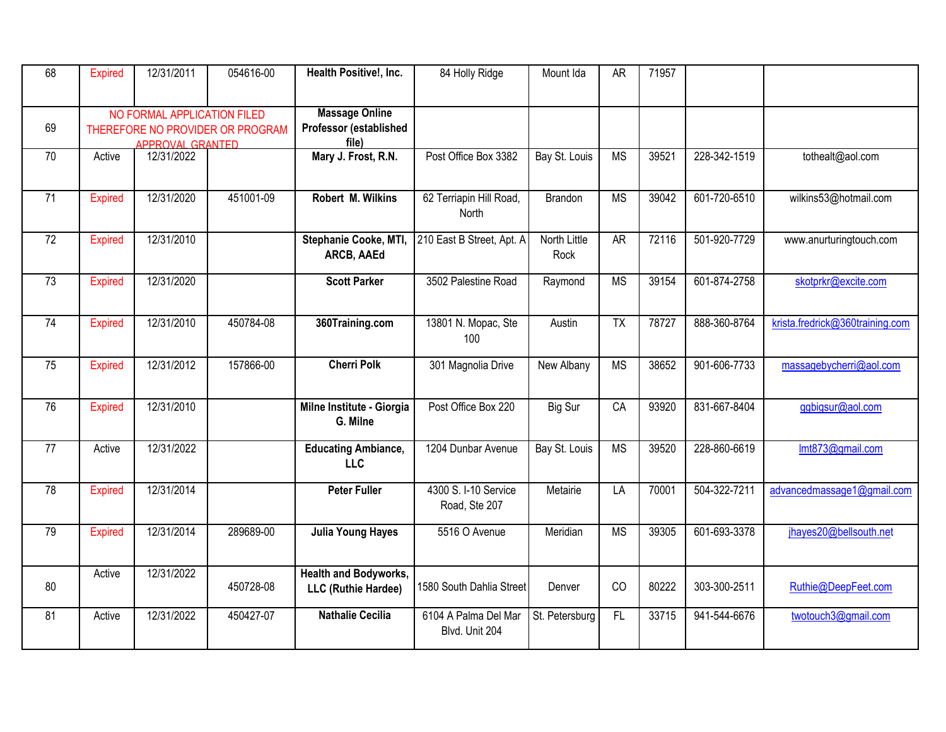| 68              | <b>Expired</b> | 12/31/2011                                             | 054616-00                        | Health Positive!, Inc.                                   | 84 Holly Ridge                         | Mount Ida                   | <b>AR</b>              | 71957 |              |                                 |
|-----------------|----------------|--------------------------------------------------------|----------------------------------|----------------------------------------------------------|----------------------------------------|-----------------------------|------------------------|-------|--------------|---------------------------------|
| 69              |                | NO FORMAL APPLICATION FILED<br><b>APPROVAL GRANTED</b> | THEREFORE NO PROVIDER OR PROGRAM | <b>Massage Online</b><br>Professor (established<br>file) |                                        |                             |                        |       |              |                                 |
| 70              | Active         | 12/31/2022                                             |                                  | Mary J. Frost, R.N.                                      | Post Office Box 3382                   | Bay St. Louis               | <b>MS</b>              | 39521 | 228-342-1519 | tothealt@aol.com                |
| 71              | <b>Expired</b> | 12/31/2020                                             | 451001-09                        | Robert M. Wilkins                                        | 62 Terriapin Hill Road,<br>North       | Brandon                     | <b>MS</b>              | 39042 | 601-720-6510 | wilkins53@hotmail.com           |
| 72              | <b>Expired</b> | 12/31/2010                                             |                                  | Stephanie Cooke, MTI,<br>ARCB, AAEd                      | 210 East B Street, Apt. A              | <b>North Little</b><br>Rock | AR                     | 72116 | 501-920-7729 | www.anurturingtouch.com         |
| $\overline{73}$ | <b>Expired</b> | 12/31/2020                                             |                                  | <b>Scott Parker</b>                                      | 3502 Palestine Road                    | Raymond                     | <b>MS</b>              | 39154 | 601-874-2758 | skotprkr@excite.com             |
| $\overline{74}$ | <b>Expired</b> | 12/31/2010                                             | 450784-08                        | 360Training.com                                          | 13801 N. Mopac, Ste<br>100             | Austin                      | $\overline{TX}$        | 78727 | 888-360-8764 | krista.fredrick@360training.com |
| 75              | <b>Expired</b> | 12/31/2012                                             | 157866-00                        | <b>Cherri Polk</b>                                       | 301 Magnolia Drive                     | New Albany                  | <b>MS</b>              | 38652 | 901-606-7733 | massagebycherri@aol.com         |
| 76              | <b>Expired</b> | 12/31/2010                                             |                                  | Milne Institute - Giorgia<br>G. Milne                    | Post Office Box 220                    | Big Sur                     | CA                     | 93920 | 831-667-8404 | ggbigsur@aol.com                |
| 77              | Active         | 12/31/2022                                             |                                  | <b>Educating Ambiance,</b><br><b>LLC</b>                 | 1204 Dunbar Avenue                     | Bay St. Louis               | $\overline{\text{MS}}$ | 39520 | 228-860-6619 | Imt873@gmail.com                |
| 78              | <b>Expired</b> | 12/31/2014                                             |                                  | <b>Peter Fuller</b>                                      | 4300 S. I-10 Service<br>Road, Ste 207  | Metairie                    | $\overline{LA}$        | 70001 | 504-322-7211 | advancedmassage1@gmail.com      |
| 79              | <b>Expired</b> | 12/31/2014                                             | 289689-00                        | <b>Julia Young Hayes</b>                                 | 5516 O Avenue                          | Meridian                    | <b>MS</b>              | 39305 | 601-693-3378 | jhayes20@bellsouth.net          |
| 80              | Active         | 12/31/2022                                             | 450728-08                        | <b>Health and Bodyworks,</b><br>LLC (Ruthie Hardee)      | 1580 South Dahlia Street               | Denver                      | CO                     | 80222 | 303-300-2511 | Ruthie@DeepFeet.com             |
| 81              | Active         | 12/31/2022                                             | 450427-07                        | <b>Nathalie Cecilia</b>                                  | 6104 A Palma Del Mar<br>Blvd. Unit 204 | St. Petersburg              | F                      | 33715 | 941-544-6676 | twotouch3@gmail.com             |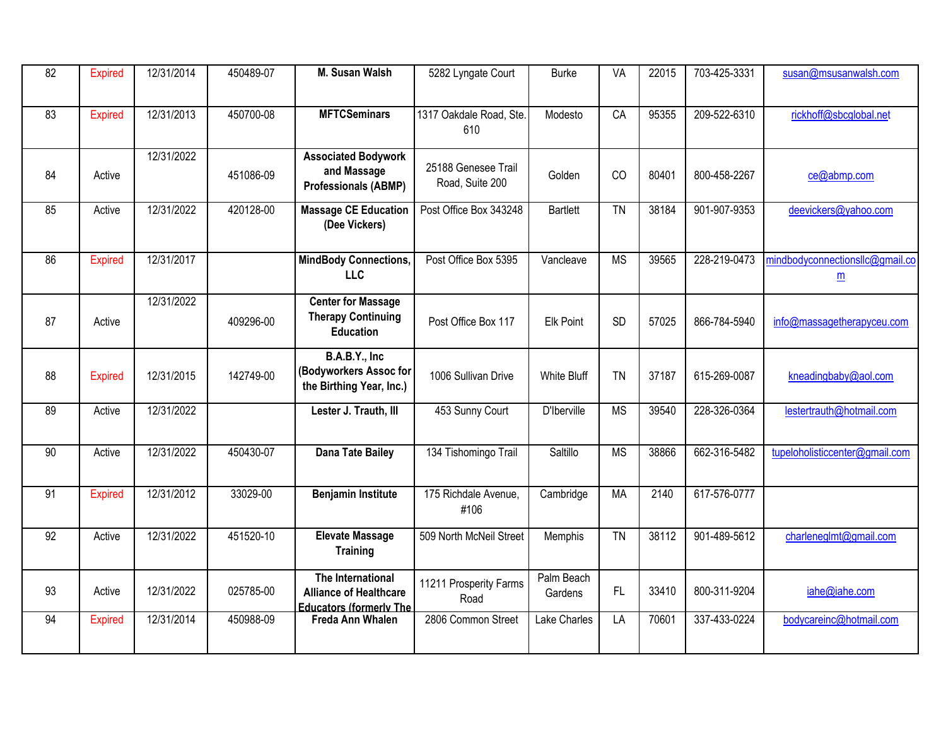| $\overline{82}$ | <b>Expired</b> | 12/31/2014 | 450489-07 | M. Susan Walsh                                                                       | 5282 Lyngate Court                     | <b>Burke</b>          | VA        | 22015 | 703-425-3331 | susan@msusanwalsh.com                              |
|-----------------|----------------|------------|-----------|--------------------------------------------------------------------------------------|----------------------------------------|-----------------------|-----------|-------|--------------|----------------------------------------------------|
| 83              | <b>Expired</b> | 12/31/2013 | 450700-08 | <b>MFTCSeminars</b>                                                                  | 1317 Oakdale Road, Ste.<br>610         | Modesto               | CA        | 95355 | 209-522-6310 | rickhoff@sbcglobal.net                             |
| 84              | Active         | 12/31/2022 | 451086-09 | <b>Associated Bodywork</b><br>and Massage<br><b>Professionals (ABMP)</b>             | 25188 Genesee Trail<br>Road, Suite 200 | Golden                | CO        | 80401 | 800-458-2267 | ce@abmp.com                                        |
| 85              | Active         | 12/31/2022 | 420128-00 | <b>Massage CE Education</b><br>(Dee Vickers)                                         | Post Office Box 343248                 | <b>Bartlett</b>       | <b>TN</b> | 38184 | 901-907-9353 | deevickers@yahoo.com                               |
| 86              | <b>Expired</b> | 12/31/2017 |           | <b>MindBody Connections,</b><br><b>LLC</b>                                           | Post Office Box 5395                   | Vancleave             | <b>MS</b> | 39565 | 228-219-0473 | mindbodyconnectionsllc@gmail.co<br>$\underline{m}$ |
| 87              | Active         | 12/31/2022 | 409296-00 | <b>Center for Massage</b><br><b>Therapy Continuing</b><br><b>Education</b>           | Post Office Box 117                    | <b>Elk Point</b>      | <b>SD</b> | 57025 | 866-784-5940 | info@massagetherapyceu.com                         |
| 88              | <b>Expired</b> | 12/31/2015 | 142749-00 | B.A.B.Y., Inc<br>(Bodyworkers Assoc for<br>the Birthing Year, Inc.)                  | 1006 Sullivan Drive                    | <b>White Bluff</b>    | <b>TN</b> | 37187 | 615-269-0087 | kneadingbaby@aol.com                               |
| 89              | Active         | 12/31/2022 |           | Lester J. Trauth, III                                                                | 453 Sunny Court                        | D'Iberville           | <b>MS</b> | 39540 | 228-326-0364 | lestertrauth@hotmail.com                           |
| 90              | Active         | 12/31/2022 | 450430-07 | <b>Dana Tate Bailey</b>                                                              | 134 Tishomingo Trail                   | Saltillo              | <b>MS</b> | 38866 | 662-316-5482 | tupeloholisticcenter@gmail.com                     |
| $\overline{91}$ | <b>Expired</b> | 12/31/2012 | 33029-00  | <b>Benjamin Institute</b>                                                            | 175 Richdale Avenue,<br>#106           | Cambridge             | <b>MA</b> | 2140  | 617-576-0777 |                                                    |
| 92              | Active         | 12/31/2022 | 451520-10 | <b>Elevate Massage</b><br><b>Training</b>                                            | 509 North McNeil Street                | Memphis               | <b>TN</b> | 38112 | 901-489-5612 | charleneglmt@gmail.com                             |
| 93              | Active         | 12/31/2022 | 025785-00 | The International<br><b>Alliance of Healthcare</b><br><b>Educators (formerly The</b> | 11211 Prosperity Farms<br>Road         | Palm Beach<br>Gardens | FL        | 33410 | 800-311-9204 | iahe@iahe.com                                      |
| 94              | <b>Expired</b> | 12/31/2014 | 450988-09 | Freda Ann Whalen                                                                     | 2806 Common Street                     | Lake Charles          | LA        | 70601 | 337-433-0224 | bodycareinc@hotmail.com                            |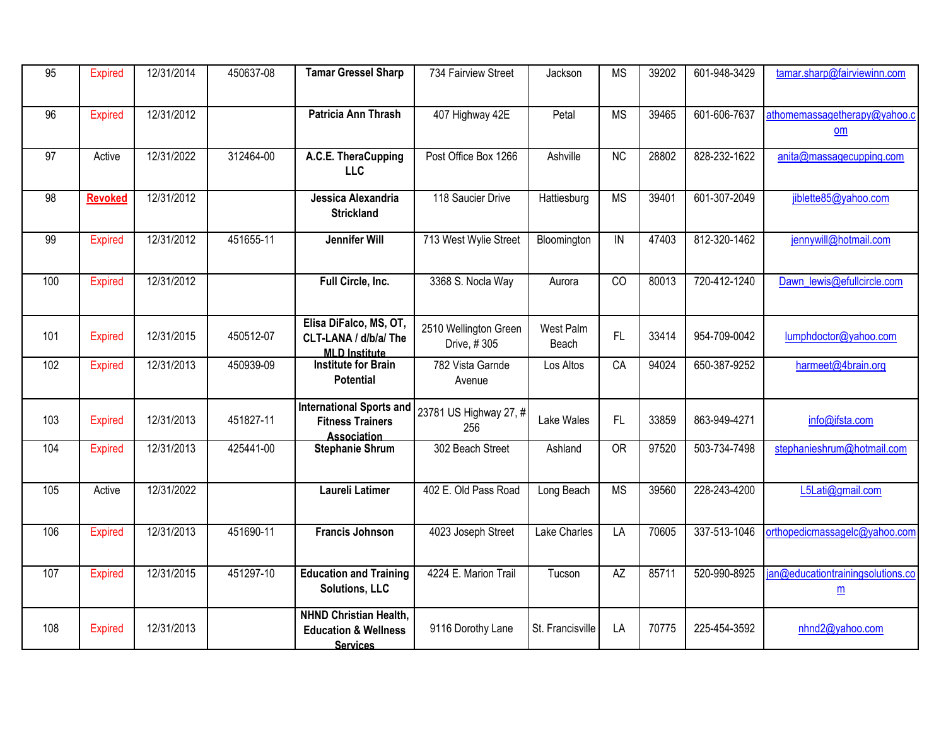| $\overline{95}$ | <b>Expired</b> | 12/31/2014 | 450637-08 | <b>Tamar Gressel Sharp</b>                                                          | 734 Fairview Street                  | Jackson            | <b>MS</b>       | 39202 | 601-948-3429 | tamar.sharp@fairviewinn.com                          |
|-----------------|----------------|------------|-----------|-------------------------------------------------------------------------------------|--------------------------------------|--------------------|-----------------|-------|--------------|------------------------------------------------------|
| 96              | <b>Expired</b> | 12/31/2012 |           | Patricia Ann Thrash                                                                 | 407 Highway 42E                      | Petal              | <b>MS</b>       | 39465 | 601-606-7637 | athomemassagetherapy@yahoo.c<br>om                   |
| $\overline{97}$ | Active         | 12/31/2022 | 312464-00 | A.C.E. TheraCupping<br><b>LLC</b>                                                   | Post Office Box 1266                 | Ashville           | $\overline{NC}$ | 28802 | 828-232-1622 | anita@massagecupping.com                             |
| 98              | <b>Revoked</b> | 12/31/2012 |           | Jessica Alexandria<br><b>Strickland</b>                                             | 118 Saucier Drive                    | Hattiesburg        | <b>MS</b>       | 39401 | 601-307-2049 | jiblette85@yahoo.com                                 |
| 99              | <b>Expired</b> | 12/31/2012 | 451655-11 | <b>Jennifer Will</b>                                                                | 713 West Wylie Street                | Bloomington        | IN              | 47403 | 812-320-1462 | jennywill@hotmail.com                                |
| 100             | <b>Expired</b> | 12/31/2012 |           | Full Circle, Inc.                                                                   | 3368 S. Nocla Way                    | Aurora             | $\overline{CO}$ | 80013 | 720-412-1240 | Dawn lewis@efullcircle.com                           |
| 101             | <b>Expired</b> | 12/31/2015 | 450512-07 | Elisa DiFalco, MS, OT,<br>CLT-LANA / d/b/a/ The<br><b>MLD Institute</b>             | 2510 Wellington Green<br>Drive, #305 | West Palm<br>Beach | FL              | 33414 | 954-709-0042 | lumphdoctor@yahoo.com                                |
| 102             | <b>Expired</b> | 12/31/2013 | 450939-09 | <b>Institute for Brain</b><br><b>Potential</b>                                      | 782 Vista Garnde<br>Avenue           | Los Altos          | CA              | 94024 | 650-387-9252 | harmeet@4brain.org                                   |
| 103             | <b>Expired</b> | 12/31/2013 | 451827-11 | <b>International Sports and</b><br><b>Fitness Trainers</b><br>Association           | 23781 US Highway 27, #<br>256        | Lake Wales         | FL              | 33859 | 863-949-4271 | info@ifsta.com                                       |
| 104             | <b>Expired</b> | 12/31/2013 | 425441-00 | <b>Stephanie Shrum</b>                                                              | 302 Beach Street                     | Ashland            | <b>OR</b>       | 97520 | 503-734-7498 | stephanieshrum@hotmail.com                           |
| 105             | Active         | 12/31/2022 |           | Laureli Latimer                                                                     | 402 E. Old Pass Road                 | Long Beach         | <b>MS</b>       | 39560 | 228-243-4200 | L5Lati@gmail.com                                     |
| 106             | <b>Expired</b> | 12/31/2013 | 451690-11 | <b>Francis Johnson</b>                                                              | 4023 Joseph Street                   | Lake Charles       | $\overline{LA}$ | 70605 | 337-513-1046 | orthopedicmassagelc@yahoo.com                        |
| 107             | <b>Expired</b> | 12/31/2015 | 451297-10 | <b>Education and Training</b><br><b>Solutions, LLC</b>                              | 4224 E. Marion Trail                 | Tucson             | $\overline{AZ}$ | 85711 | 520-990-8925 | jan@educationtrainingsolutions.co<br>$\underline{m}$ |
| 108             | <b>Expired</b> | 12/31/2013 |           | <b>NHND Christian Health,</b><br><b>Education &amp; Wellness</b><br><b>Services</b> | 9116 Dorothy Lane                    | St. Francisville   | LA              | 70775 | 225-454-3592 | nhnd2@yahoo.com                                      |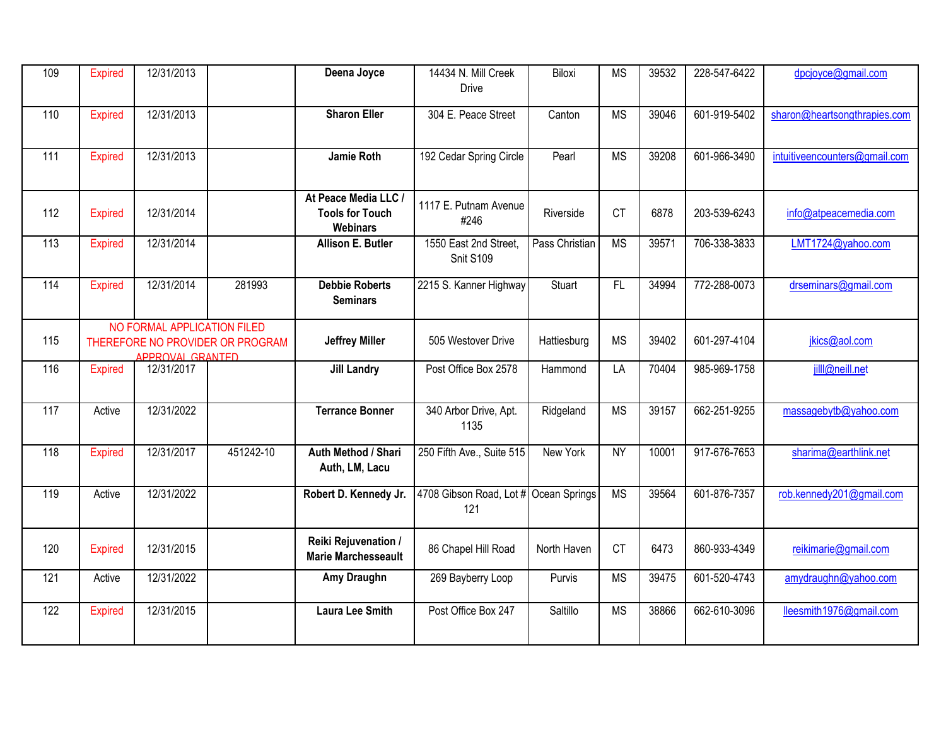| 109 | Expired        | 12/31/2013                                      |                                  | Deena Joyce                                                       | 14434 N. Mill Creek<br><b>Drive</b>          | Biloxi         | <b>MS</b>       | 39532 | 228-547-6422 | dpcjoyce@gmail.com            |
|-----|----------------|-------------------------------------------------|----------------------------------|-------------------------------------------------------------------|----------------------------------------------|----------------|-----------------|-------|--------------|-------------------------------|
| 110 | Expired        | 12/31/2013                                      |                                  | <b>Sharon Eller</b>                                               | 304 E. Peace Street                          | Canton         | <b>MS</b>       | 39046 | 601-919-5402 | sharon@heartsongthrapies.com  |
| 111 | <b>Expired</b> | 12/31/2013                                      |                                  | <b>Jamie Roth</b>                                                 | 192 Cedar Spring Circle                      | Pearl          | <b>MS</b>       | 39208 | 601-966-3490 | intuitiveencounters@gmail.com |
| 112 | <b>Expired</b> | 12/31/2014                                      |                                  | At Peace Media LLC /<br><b>Tools for Touch</b><br><b>Webinars</b> | 1117 E. Putnam Avenue<br>#246                | Riverside      | <b>CT</b>       | 6878  | 203-539-6243 | info@atpeacemedia.com         |
| 113 | <b>Expired</b> | 12/31/2014                                      |                                  | <b>Allison E. Butler</b>                                          | 1550 East 2nd Street,<br>Snit S109           | Pass Christian | <b>MS</b>       | 39571 | 706-338-3833 | LMT1724@yahoo.com             |
| 114 | <b>Expired</b> | 12/31/2014                                      | 281993                           | <b>Debbie Roberts</b><br><b>Seminars</b>                          | 2215 S. Kanner Highway                       | Stuart         | $\overline{FL}$ | 34994 | 772-288-0073 | drseminars@gmail.com          |
| 115 |                | NO FORMAL APPLICATION FILED<br>APPROVAL GRANTED | THEREFORE NO PROVIDER OR PROGRAM | <b>Jeffrey Miller</b>                                             | 505 Westover Drive                           | Hattiesburg    | <b>MS</b>       | 39402 | 601-297-4104 | jkics@aol.com                 |
| 116 | <b>Expired</b> | 12/31/2017                                      |                                  | <b>Jill Landry</b>                                                | Post Office Box 2578                         | Hammond        | LA              | 70404 | 985-969-1758 | jill@neill.net                |
| 117 | Active         | 12/31/2022                                      |                                  | <b>Terrance Bonner</b>                                            | 340 Arbor Drive, Apt.<br>1135                | Ridgeland      | <b>MS</b>       | 39157 | 662-251-9255 | massagebytb@yahoo.com         |
| 118 | Expired        | 12/31/2017                                      | 451242-10                        | Auth Method / Shari<br>Auth, LM, Lacu                             | 250 Fifth Ave., Suite 515                    | New York       | <b>NY</b>       | 10001 | 917-676-7653 | sharima@earthlink.net         |
| 119 | Active         | 12/31/2022                                      |                                  | Robert D. Kennedy Jr.                                             | 4708 Gibson Road, Lot # Ocean Springs<br>121 |                | <b>MS</b>       | 39564 | 601-876-7357 | rob.kennedy201@gmail.com      |
| 120 | <b>Expired</b> | 12/31/2015                                      |                                  | Reiki Rejuvenation /<br><b>Marie Marchesseault</b>                | 86 Chapel Hill Road                          | North Haven    | <b>CT</b>       | 6473  | 860-933-4349 | reikimarie@gmail.com          |
| 121 | Active         | 12/31/2022                                      |                                  | Amy Draughn                                                       | 269 Bayberry Loop                            | Purvis         | <b>MS</b>       | 39475 | 601-520-4743 | amydraughn@yahoo.com          |
| 122 | <b>Expired</b> | 12/31/2015                                      |                                  | <b>Laura Lee Smith</b>                                            | Post Office Box 247                          | Saltillo       | <b>MS</b>       | 38866 | 662-610-3096 | lleesmith1976@gmail.com       |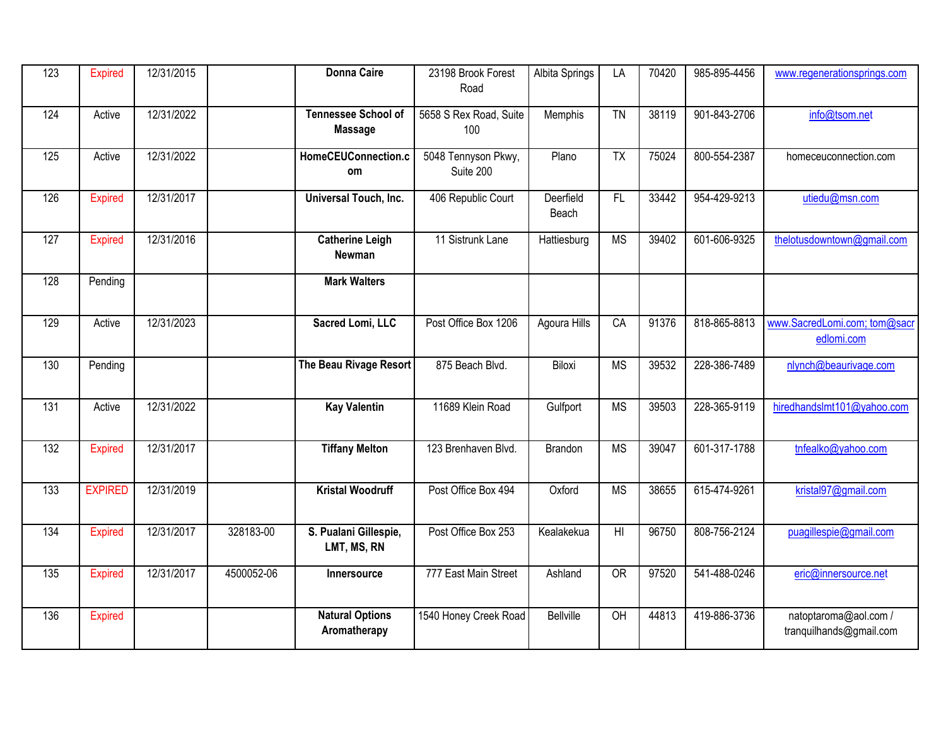| 123              | Expired        | 12/31/2015 |            | <b>Donna Caire</b>                           | 23198 Brook Forest<br>Road       | Albita Springs     | LA                     | 70420 | 985-895-4456 | www.regenerationsprings.com                      |
|------------------|----------------|------------|------------|----------------------------------------------|----------------------------------|--------------------|------------------------|-------|--------------|--------------------------------------------------|
| 124              | Active         | 12/31/2022 |            | <b>Tennessee School of</b><br><b>Massage</b> | 5658 S Rex Road, Suite<br>100    | Memphis            | $\overline{T}N$        | 38119 | 901-843-2706 | info@tsom.net                                    |
| $\overline{125}$ | Active         | 12/31/2022 |            | HomeCEUConnection.c<br><b>om</b>             | 5048 Tennyson Pkwy,<br>Suite 200 | Plano              | $\overline{TX}$        | 75024 | 800-554-2387 | homeceuconnection.com                            |
| 126              | Expired        | 12/31/2017 |            | Universal Touch, Inc.                        | 406 Republic Court               | Deerfield<br>Beach | $\overline{FL}$        | 33442 | 954-429-9213 | utiedu@msn.com                                   |
| 127              | <b>Expired</b> | 12/31/2016 |            | <b>Catherine Leigh</b><br>Newman             | 11 Sistrunk Lane                 | Hattiesburg        | <b>MS</b>              | 39402 | 601-606-9325 | thelotusdowntown@gmail.com                       |
| 128              | Pending        |            |            | <b>Mark Walters</b>                          |                                  |                    |                        |       |              |                                                  |
| 129              | Active         | 12/31/2023 |            | Sacred Lomi, LLC                             | Post Office Box 1206             | Agoura Hills       | CA                     | 91376 | 818-865-8813 | www.SacredLomi.com; tom@sacr<br>edlomi.com       |
| 130              | Pending        |            |            | The Beau Rivage Resort                       | 875 Beach Blvd.                  | Biloxi             | <b>MS</b>              | 39532 | 228-386-7489 | nlynch@beaurivage.com                            |
| 131              | Active         | 12/31/2022 |            | <b>Kay Valentin</b>                          | 11689 Klein Road                 | Gulfport           | <b>MS</b>              | 39503 | 228-365-9119 | hiredhandslmt101@yahoo.com                       |
| 132              | Expired        | 12/31/2017 |            | <b>Tiffany Melton</b>                        | 123 Brenhaven Blvd.              | <b>Brandon</b>     | <b>MS</b>              | 39047 | 601-317-1788 | tnfealko@yahoo.com                               |
| $\overline{133}$ | <b>EXPIRED</b> | 12/31/2019 |            | <b>Kristal Woodruff</b>                      | Post Office Box 494              | Oxford             | $\overline{\text{MS}}$ | 38655 | 615-474-9261 | kristal97@gmail.com                              |
| 134              | <b>Expired</b> | 12/31/2017 | 328183-00  | S. Pualani Gillespie,<br>LMT, MS, RN         | Post Office Box 253              | Kealakekua         | H <sub>l</sub>         | 96750 | 808-756-2124 | puagillespie@gmail.com                           |
| 135              | <b>Expired</b> | 12/31/2017 | 4500052-06 | Innersource                                  | 777 East Main Street             | Ashland            | <b>OR</b>              | 97520 | 541-488-0246 | eric@innersource.net                             |
| 136              | <b>Expired</b> |            |            | <b>Natural Options</b><br>Aromatherapy       | 1540 Honey Creek Road            | <b>Bellville</b>   | $\overline{CH}$        | 44813 | 419-886-3736 | natoptaroma@aol.com /<br>tranquilhands@gmail.com |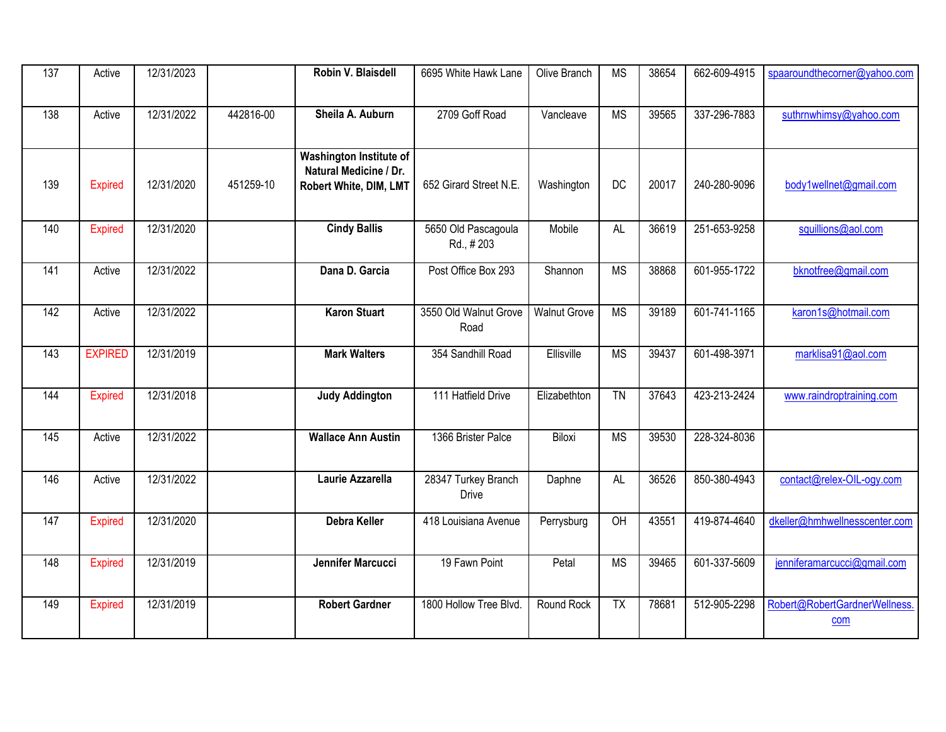| 137              | Active         | 12/31/2023 |           | Robin V. Blaisdell                                | 6695 White Hawk Lane                | Olive Branch        | <b>MS</b>              | 38654 | 662-609-4915 | spaaroundthecorner@yahoo.com  |
|------------------|----------------|------------|-----------|---------------------------------------------------|-------------------------------------|---------------------|------------------------|-------|--------------|-------------------------------|
|                  |                |            |           |                                                   |                                     |                     |                        |       |              |                               |
| 138              | Active         | 12/31/2022 | 442816-00 | Sheila A. Auburn                                  | 2709 Goff Road                      | Vancleave           | $\overline{\text{MS}}$ | 39565 | 337-296-7883 | suthrnwhimsy@yahoo.com        |
|                  |                |            |           |                                                   |                                     |                     |                        |       |              |                               |
|                  |                |            |           | Washington Institute of<br>Natural Medicine / Dr. |                                     |                     |                        |       |              |                               |
| 139              | <b>Expired</b> | 12/31/2020 | 451259-10 | Robert White, DIM, LMT                            | 652 Girard Street N.E.              | Washington          | DC                     | 20017 | 240-280-9096 | body1wellnet@gmail.com        |
|                  |                |            |           |                                                   |                                     |                     |                        |       |              |                               |
| 140              | <b>Expired</b> | 12/31/2020 |           | <b>Cindy Ballis</b>                               | 5650 Old Pascagoula<br>Rd., #203    | Mobile              | $\overline{AL}$        | 36619 | 251-653-9258 | squillions@aol.com            |
|                  |                |            |           |                                                   |                                     |                     |                        |       |              |                               |
| 141              | Active         | 12/31/2022 |           | Dana D. Garcia                                    | Post Office Box 293                 | Shannon             | <b>MS</b>              | 38868 | 601-955-1722 | bknotfree@gmail.com           |
| 142              | Active         | 12/31/2022 |           | <b>Karon Stuart</b>                               | 3550 Old Walnut Grove               | <b>Walnut Grove</b> | <b>MS</b>              | 39189 | 601-741-1165 | karon1s@hotmail.com           |
|                  |                |            |           |                                                   | Road                                |                     |                        |       |              |                               |
| $\overline{143}$ | <b>EXPIRED</b> | 12/31/2019 |           | <b>Mark Walters</b>                               | 354 Sandhill Road                   | Ellisville          | <b>MS</b>              | 39437 | 601-498-3971 | marklisa91@aol.com            |
|                  |                |            |           |                                                   |                                     |                     |                        |       |              |                               |
| 144              | <b>Expired</b> | 12/31/2018 |           | <b>Judy Addington</b>                             | 111 Hatfield Drive                  | Elizabethton        | $\overline{TN}$        | 37643 | 423-213-2424 | www.raindroptraining.com      |
|                  |                |            |           |                                                   |                                     |                     |                        |       |              |                               |
| 145              | Active         | 12/31/2022 |           | <b>Wallace Ann Austin</b>                         | 1366 Brister Palce                  | Biloxi              | <b>MS</b>              | 39530 | 228-324-8036 |                               |
|                  |                |            |           |                                                   |                                     |                     |                        |       |              |                               |
| 146              | Active         | 12/31/2022 |           | Laurie Azzarella                                  | 28347 Turkey Branch<br><b>Drive</b> | Daphne              | <b>AL</b>              | 36526 | 850-380-4943 | contact@relex-OIL-ogy.com     |
| 147              | <b>Expired</b> | 12/31/2020 |           | <b>Debra Keller</b>                               | 418 Louisiana Avenue                | Perrysburg          | $\overline{OH}$        | 43551 | 419-874-4640 | dkeller@hmhwellnesscenter.com |
|                  |                |            |           |                                                   |                                     |                     |                        |       |              |                               |
| 148              | <b>Expired</b> | 12/31/2019 |           | Jennifer Marcucci                                 | 19 Fawn Point                       | Petal               | <b>MS</b>              | 39465 | 601-337-5609 | jenniferamarcucci@gmail.com   |
|                  |                |            |           |                                                   |                                     |                     |                        |       |              |                               |
| 149              | <b>Expired</b> | 12/31/2019 |           | <b>Robert Gardner</b>                             | 1800 Hollow Tree Blvd.              | Round Rock          | $\overline{TX}$        | 78681 | 512-905-2298 | Robert@RobertGardnerWellness. |
|                  |                |            |           |                                                   |                                     |                     |                        |       |              | com                           |